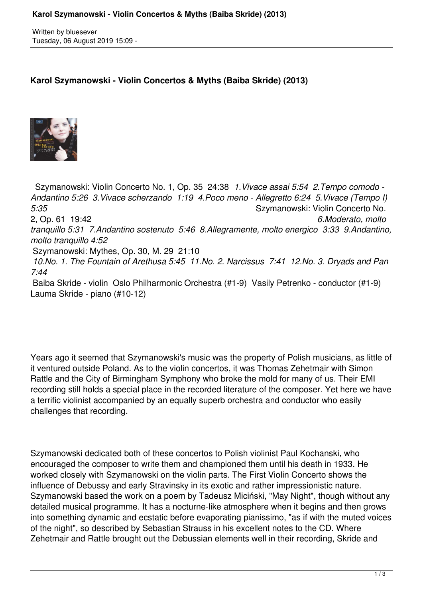Written by bluesever Tuesday, 06 August 2019 15:09 -

## **Karol Szymanowski - Violin Concertos & Myths (Baiba Skride) (2013)**



 Szymanowski: Violin Concerto No. 1, Op. 35 24:38 *1.Vivace assai 5:54 2.Tempo comodo - Andantino 5:26 3.Vivace scherzando 1:19 4.Poco meno - Allegretto 6:24 5.Vivace (Tempo I) 5:35* Szymanowski: Violin Concerto No. 2, Op. 61 19:42 *6.Moderato, molto tranquillo 5:31 7.Andantino sostenuto 5:46 8.Allegramente, molto energico 3:33 9.Andantino, molto tranquillo 4:52*  Szymanowski: Mythes, Op. 30, M. 29 21:10  *10.No. 1. The Fountain of Arethusa 5:45 11.No. 2. Narcissus 7:41 12.No. 3. Dryads and Pan 7:44*  Baiba Skride - violin Oslo Philharmonic Orchestra (#1-9) Vasily Petrenko - conductor (#1-9) Lauma Skride - piano (#10-12)

Years ago it seemed that Szymanowski's music was the property of Polish musicians, as little of it ventured outside Poland. As to the violin concertos, it was Thomas Zehetmair with Simon Rattle and the City of Birmingham Symphony who broke the mold for many of us. Their EMI recording still holds a special place in the recorded literature of the composer. Yet here we have a terrific violinist accompanied by an equally superb orchestra and conductor who easily challenges that recording.

Szymanowski dedicated both of these concertos to Polish violinist Paul Kochanski, who encouraged the composer to write them and championed them until his death in 1933. He worked closely with Szymanowski on the violin parts. The First Violin Concerto shows the influence of Debussy and early Stravinsky in its exotic and rather impressionistic nature. Szymanowski based the work on a poem by Tadeusz Miciński, "May Night", though without any detailed musical programme. It has a nocturne-like atmosphere when it begins and then grows into something dynamic and ecstatic before evaporating pianissimo, "as if with the muted voices of the night", so described by Sebastian Strauss in his excellent notes to the CD. Where Zehetmair and Rattle brought out the Debussian elements well in their recording, Skride and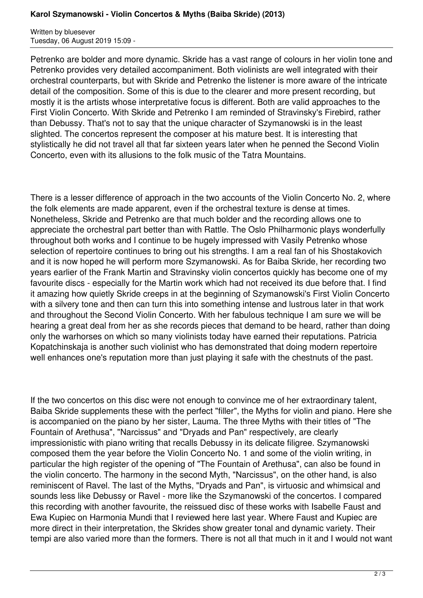Written by bluesever Tuesday, 06 August 2019 15:09 -

Petrenko are bolder and more dynamic. Skride has a vast range of colours in her violin tone and Petrenko provides very detailed accompaniment. Both violinists are well integrated with their orchestral counterparts, but with Skride and Petrenko the listener is more aware of the intricate detail of the composition. Some of this is due to the clearer and more present recording, but mostly it is the artists whose interpretative focus is different. Both are valid approaches to the First Violin Concerto. With Skride and Petrenko I am reminded of Stravinsky's Firebird, rather than Debussy. That's not to say that the unique character of Szymanowski is in the least slighted. The concertos represent the composer at his mature best. It is interesting that stylistically he did not travel all that far sixteen years later when he penned the Second Violin Concerto, even with its allusions to the folk music of the Tatra Mountains.

There is a lesser difference of approach in the two accounts of the Violin Concerto No. 2, where the folk elements are made apparent, even if the orchestral texture is dense at times. Nonetheless, Skride and Petrenko are that much bolder and the recording allows one to appreciate the orchestral part better than with Rattle. The Oslo Philharmonic plays wonderfully throughout both works and I continue to be hugely impressed with Vasily Petrenko whose selection of repertoire continues to bring out his strengths. I am a real fan of his Shostakovich and it is now hoped he will perform more Szymanowski. As for Baiba Skride, her recording two years earlier of the Frank Martin and Stravinsky violin concertos quickly has become one of my favourite discs - especially for the Martin work which had not received its due before that. I find it amazing how quietly Skride creeps in at the beginning of Szymanowski's First Violin Concerto with a silvery tone and then can turn this into something intense and lustrous later in that work and throughout the Second Violin Concerto. With her fabulous technique I am sure we will be hearing a great deal from her as she records pieces that demand to be heard, rather than doing only the warhorses on which so many violinists today have earned their reputations. Patricia Kopatchinskaja is another such violinist who has demonstrated that doing modern repertoire well enhances one's reputation more than just playing it safe with the chestnuts of the past.

If the two concertos on this disc were not enough to convince me of her extraordinary talent, Baiba Skride supplements these with the perfect "filler", the Myths for violin and piano. Here she is accompanied on the piano by her sister, Lauma. The three Myths with their titles of "The Fountain of Arethusa", "Narcissus" and "Dryads and Pan" respectively, are clearly impressionistic with piano writing that recalls Debussy in its delicate filigree. Szymanowski composed them the year before the Violin Concerto No. 1 and some of the violin writing, in particular the high register of the opening of "The Fountain of Arethusa", can also be found in the violin concerto. The harmony in the second Myth, "Narcissus", on the other hand, is also reminiscent of Ravel. The last of the Myths, "Dryads and Pan", is virtuosic and whimsical and sounds less like Debussy or Ravel - more like the Szymanowski of the concertos. I compared this recording with another favourite, the reissued disc of these works with Isabelle Faust and Ewa Kupiec on Harmonia Mundi that I reviewed here last year. Where Faust and Kupiec are more direct in their interpretation, the Skrides show greater tonal and dynamic variety. Their tempi are also varied more than the formers. There is not all that much in it and I would not want